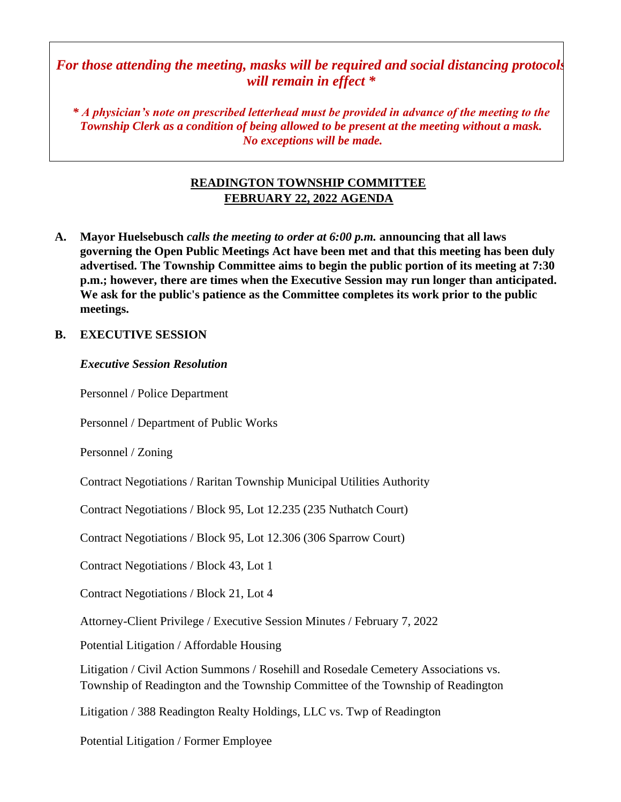# *For those attending the meeting, masks will be required and social distancing protocols will remain in effect \**

*\* A physician's note on prescribed letterhead must be provided in advance of the meeting to the Township Clerk as a condition of being allowed to be present at the meeting without a mask. No exceptions will be made.*

# **READINGTON TOWNSHIP COMMITTEE FEBRUARY 22, 2022 AGENDA**

**A. Mayor Huelsebusch** *calls the meeting to order at 6:00 p.m.* **announcing that all laws governing the Open Public Meetings Act have been met and that this meeting has been duly advertised. The Township Committee aims to begin the public portion of its meeting at 7:30 p.m.; however, there are times when the Executive Session may run longer than anticipated. We ask for the public's patience as the Committee completes its work prior to the public meetings.**

# **B. EXECUTIVE SESSION**

#### *Executive Session Resolution*

Personnel / Police Department

Personnel / Department of Public Works

Personnel / Zoning

Contract Negotiations / Raritan Township Municipal Utilities Authority

Contract Negotiations / Block 95, Lot 12.235 (235 Nuthatch Court)

Contract Negotiations / Block 95, Lot 12.306 (306 Sparrow Court)

Contract Negotiations / Block 43, Lot 1

Contract Negotiations / Block 21, Lot 4

Attorney-Client Privilege / Executive Session Minutes / February 7, 2022

Potential Litigation / Affordable Housing

Litigation / Civil Action Summons / Rosehill and Rosedale Cemetery Associations vs. Township of Readington and the Township Committee of the Township of Readington

Litigation / 388 Readington Realty Holdings, LLC vs. Twp of Readington

Potential Litigation / Former Employee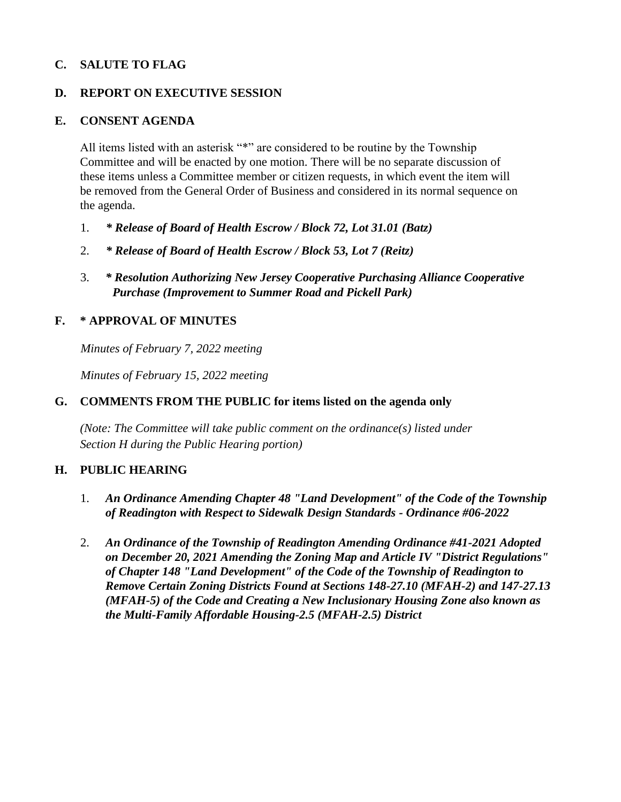# **C. SALUTE TO FLAG**

### **D. REPORT ON EXECUTIVE SESSION**

#### **E. CONSENT AGENDA**

All items listed with an asterisk "\*" are considered to be routine by the Township Committee and will be enacted by one motion. There will be no separate discussion of these items unless a Committee member or citizen requests, in which event the item will be removed from the General Order of Business and considered in its normal sequence on the agenda.

- 1. *\* Release of Board of Health Escrow / Block 72, Lot 31.01 (Batz)*
- 2. *\* Release of Board of Health Escrow / Block 53, Lot 7 (Reitz)*
- 3. *\* Resolution Authorizing New Jersey Cooperative Purchasing Alliance Cooperative Purchase (Improvement to Summer Road and Pickell Park)*

# **F. \* APPROVAL OF MINUTES**

*Minutes of February 7, 2022 meeting* 

*Minutes of February 15, 2022 meeting* 

### **G. COMMENTS FROM THE PUBLIC for items listed on the agenda only**

*(Note: The Committee will take public comment on the ordinance(s) listed under Section H during the Public Hearing portion)*

#### **H. PUBLIC HEARING**

- 1. *An Ordinance Amending Chapter 48 "Land Development" of the Code of the Township of Readington with Respect to Sidewalk Design Standards - Ordinance #06-2022*
- 2. *An Ordinance of the Township of Readington Amending Ordinance #41-2021 Adopted on December 20, 2021 Amending the Zoning Map and Article IV "District Regulations" of Chapter 148 "Land Development" of the Code of the Township of Readington to Remove Certain Zoning Districts Found at Sections 148-27.10 (MFAH-2) and 147-27.13 (MFAH-5) of the Code and Creating a New Inclusionary Housing Zone also known as the Multi-Family Affordable Housing-2.5 (MFAH-2.5) District*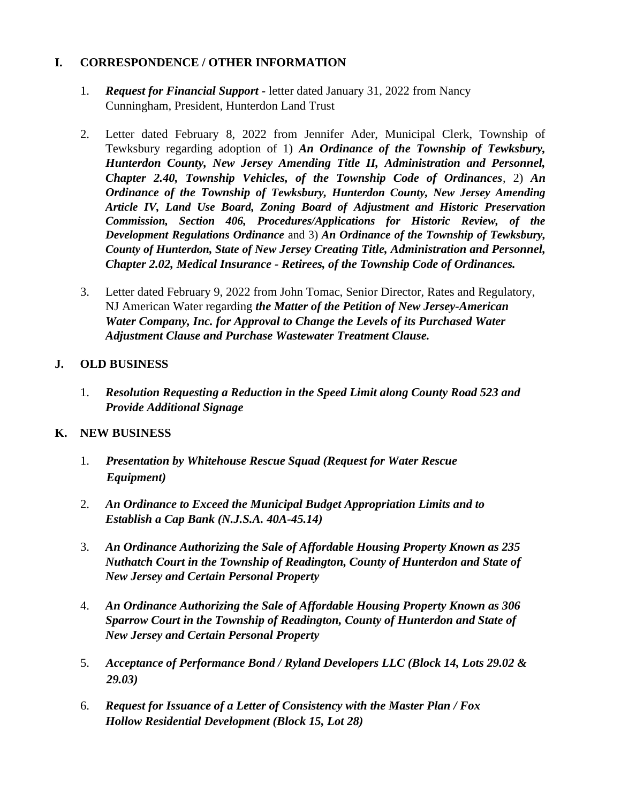# **I. CORRESPONDENCE / OTHER INFORMATION**

- 1. *Request for Financial Support -* letter dated January 31, 2022 from Nancy Cunningham, President, Hunterdon Land Trust
- 2. Letter dated February 8, 2022 from Jennifer Ader, Municipal Clerk, Township of Tewksbury regarding adoption of 1) *An Ordinance of the Township of Tewksbury, Hunterdon County, New Jersey Amending Title II, Administration and Personnel, Chapter 2.40, Township Vehicles, of the Township Code of Ordinances*, 2) *An Ordinance of the Township of Tewksbury, Hunterdon County, New Jersey Amending Article IV, Land Use Board, Zoning Board of Adjustment and Historic Preservation Commission, Section 406, Procedures/Applications for Historic Review, of the Development Regulations Ordinance* and 3) *An Ordinance of the Township of Tewksbury, County of Hunterdon, State of New Jersey Creating Title, Administration and Personnel, Chapter 2.02, Medical Insurance - Retirees, of the Township Code of Ordinances.*
- 3. Letter dated February 9, 2022 from John Tomac, Senior Director, Rates and Regulatory, NJ American Water regarding *the Matter of the Petition of New Jersey-American Water Company, Inc. for Approval to Change the Levels of its Purchased Water Adjustment Clause and Purchase Wastewater Treatment Clause.*

# **J. OLD BUSINESS**

1. *Resolution Requesting a Reduction in the Speed Limit along County Road 523 and Provide Additional Signage*

# **K. NEW BUSINESS**

- 1. *Presentation by Whitehouse Rescue Squad (Request for Water Rescue Equipment)*
- 2. *An Ordinance to Exceed the Municipal Budget Appropriation Limits and to Establish a Cap Bank (N.J.S.A. 40A-45.14)*
- 3. *An Ordinance Authorizing the Sale of Affordable Housing Property Known as 235 Nuthatch Court in the Township of Readington, County of Hunterdon and State of New Jersey and Certain Personal Property*
- 4. *An Ordinance Authorizing the Sale of Affordable Housing Property Known as 306 Sparrow Court in the Township of Readington, County of Hunterdon and State of New Jersey and Certain Personal Property*
- 5. *Acceptance of Performance Bond / Ryland Developers LLC (Block 14, Lots 29.02 & 29.03)*
- 6. *Request for Issuance of a Letter of Consistency with the Master Plan / Fox Hollow Residential Development (Block 15, Lot 28)*